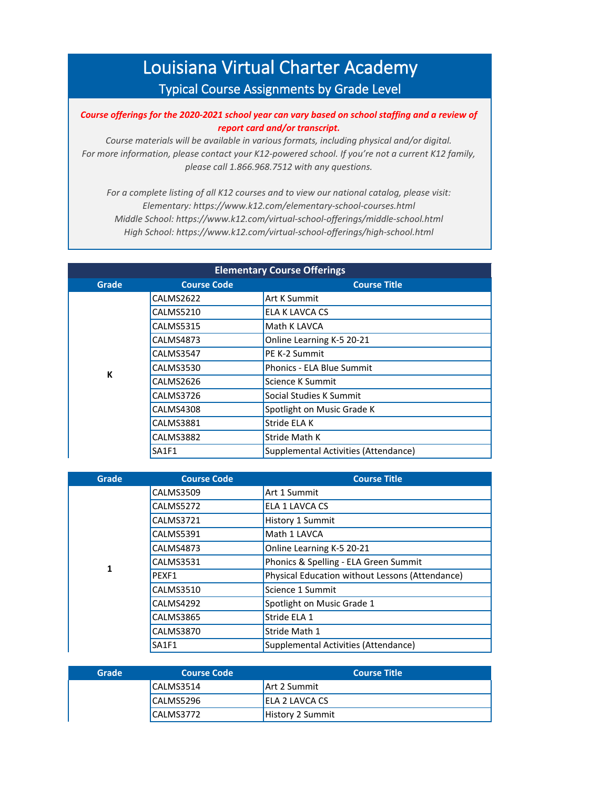## Louisiana Virtual Charter Academy Typical Course Assignments by Grade Level

## *Course offerings for the 2020-2021 school year can vary based on school staffing and a review of report card and/or transcript.*

*Course materials will be available in various formats, including physical and/or digital. For more information, please contact your K12-powered school. If you're not a current K12 family, please call 1.866.968.7512 with any questions.*

*For a complete listing of all K12 courses and to view our national catalog, please visit: Elementary: https://www.k12.com/elementary-school-courses.html Middle School: https://www.k12.com/virtual-school-offerings/middle-school.html High School: https://www.k12.com/virtual-school-offerings/high-school.html*

| <b>Elementary Course Offerings</b> |                    |                                      |
|------------------------------------|--------------------|--------------------------------------|
| Grade                              | <b>Course Code</b> | <b>Course Title</b>                  |
|                                    | CALMS2622          | Art K Summit                         |
|                                    | <b>CALMS5210</b>   | ELA K LAVCA CS                       |
|                                    | <b>CALMS5315</b>   | Math K LAVCA                         |
|                                    | CALMS4873          | Online Learning K-5 20-21            |
|                                    | CALMS3547          | PE K-2 Summit                        |
| К                                  | CALMS3530          | Phonics - ELA Blue Summit            |
|                                    | CALMS2626          | Science K Summit                     |
|                                    | CALMS3726          | Social Studies K Summit              |
|                                    | CALMS4308          | Spotlight on Music Grade K           |
|                                    | <b>CALMS3881</b>   | Stride ELA K                         |
|                                    | CALMS3882          | Stride Math K                        |
|                                    | SA1F1              | Supplemental Activities (Attendance) |

| Grade | <b>Course Code</b> | <b>Course Title</b>                             |
|-------|--------------------|-------------------------------------------------|
|       | <b>CALMS3509</b>   | Art 1 Summit                                    |
|       | CALMS5272          | ELA 1 LAVCA CS                                  |
|       | <b>CALMS3721</b>   | History 1 Summit                                |
|       | <b>CALMS5391</b>   | Math 1 LAVCA                                    |
|       | <b>CALMS4873</b>   | Online Learning K-5 20-21                       |
| 1     | <b>CALMS3531</b>   | Phonics & Spelling - ELA Green Summit           |
|       | PEXF1              | Physical Education without Lessons (Attendance) |
|       | <b>CALMS3510</b>   | Science 1 Summit                                |
|       | CALMS4292          | Spotlight on Music Grade 1                      |
|       | <b>CALMS3865</b>   | Stride ELA 1                                    |
|       | <b>CALMS3870</b>   | Stride Math 1                                   |
|       | SA1F1              | Supplemental Activities (Attendance)            |

| Grade | <b>Course Code</b> | Course Title            |
|-------|--------------------|-------------------------|
|       | CALMS3514          | Art 2 Summit            |
|       | CALMS5296          | ELA 2 LAVCA CS          |
|       | CALMS3772          | <b>History 2 Summit</b> |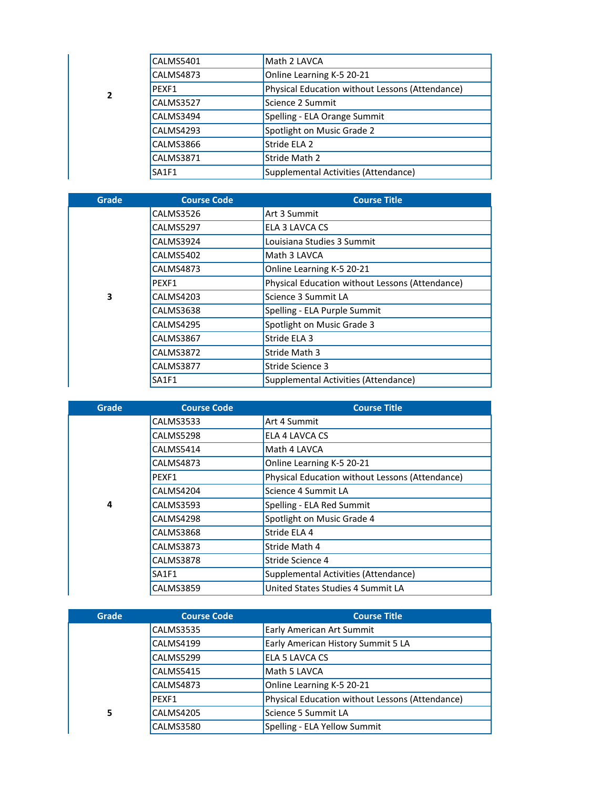|  |   | CALMS5401 | Math 2 LAVCA                                    |
|--|---|-----------|-------------------------------------------------|
|  |   | CALMS4873 | Online Learning K-5 20-21                       |
|  | 2 | PFXF1     | Physical Education without Lessons (Attendance) |
|  |   | CALMS3527 | Science 2 Summit                                |
|  |   | CALMS3494 | Spelling - ELA Orange Summit                    |
|  |   | CALMS4293 | Spotlight on Music Grade 2                      |
|  |   | CALMS3866 | Stride ELA 2                                    |
|  |   | CALMS3871 | Stride Math 2                                   |
|  |   | SA1F1     | Supplemental Activities (Attendance)            |

| Grade | <b>Course Code</b> | <b>Course Title</b>                             |
|-------|--------------------|-------------------------------------------------|
|       | CALMS3526          | Art 3 Summit                                    |
|       | CALMS5297          | ELA 3 LAVCA CS                                  |
|       | CALMS3924          | Louisiana Studies 3 Summit                      |
|       | <b>CALMS5402</b>   | Math 3 LAVCA                                    |
|       | CALMS4873          | Online Learning K-5 20-21                       |
|       | PEXF1              | Physical Education without Lessons (Attendance) |
| 3     | <b>CALMS4203</b>   | Science 3 Summit LA                             |
|       | CALMS3638          | Spelling - ELA Purple Summit                    |
|       | CALMS4295          | Spotlight on Music Grade 3                      |
|       | <b>CALMS3867</b>   | Stride ELA 3                                    |
|       | CALMS3872          | Stride Math 3                                   |
|       | <b>CALMS3877</b>   | Stride Science 3                                |
|       | SA1F1              | Supplemental Activities (Attendance)            |

| Grade | <b>Course Code</b> | <b>Course Title</b>                             |
|-------|--------------------|-------------------------------------------------|
|       | <b>CALMS3533</b>   | Art 4 Summit                                    |
|       | CALMS5298          | ELA 4 LAVCA CS                                  |
|       | CALMS5414          | Math 4 LAVCA                                    |
|       | CALMS4873          | Online Learning K-5 20-21                       |
|       | PEXF1              | Physical Education without Lessons (Attendance) |
|       | CALMS4204          | Science 4 Summit LA                             |
| 4     | <b>CALMS3593</b>   | Spelling - ELA Red Summit                       |
|       | CALMS4298          | Spotlight on Music Grade 4                      |
|       | CALMS3868          | Stride ELA 4                                    |
|       | <b>CALMS3873</b>   | Stride Math 4                                   |
|       | CALMS3878          | Stride Science 4                                |
|       | SA1F1              | Supplemental Activities (Attendance)            |
|       | <b>CALMS3859</b>   | United States Studies 4 Summit LA               |

| <b>Grade</b> | <b>Course Code</b> | <b>Course Title</b>                             |
|--------------|--------------------|-------------------------------------------------|
|              | <b>CALMS3535</b>   | Early American Art Summit                       |
|              | CALMS4199          | Early American History Summit 5 LA              |
|              | CALMS5299          | ELA 5 LAVCA CS                                  |
|              | <b>CALMS5415</b>   | Math 5 LAVCA                                    |
|              | CALMS4873          | Online Learning K-5 20-21                       |
|              | PEXF1              | Physical Education without Lessons (Attendance) |
| 5            | <b>CALMS4205</b>   | Science 5 Summit LA                             |
|              | <b>CALMS3580</b>   | Spelling - ELA Yellow Summit                    |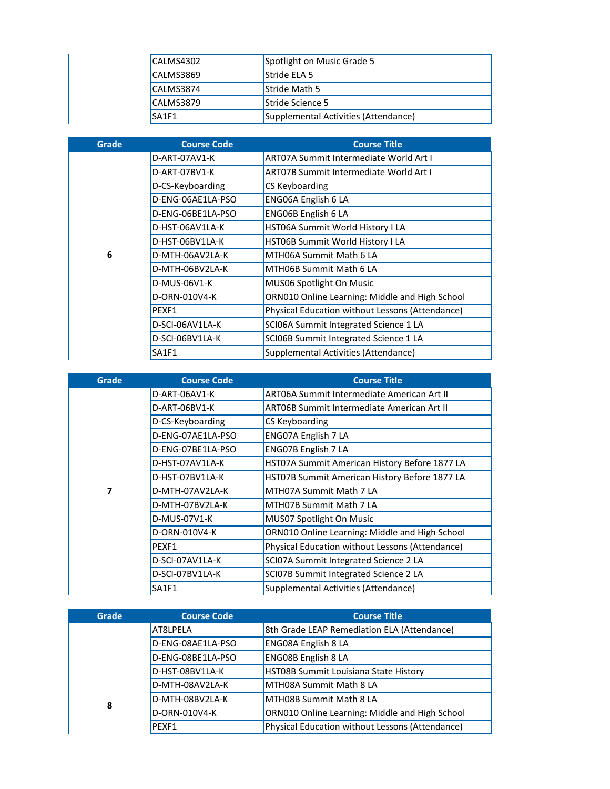| CALMS4302 | Spotlight on Music Grade 5           |
|-----------|--------------------------------------|
| CALMS3869 | Stride ELA 5                         |
| CALMS3874 | <b>Stride Math 5</b>                 |
| CALMS3879 | Stride Science 5                     |
| SA1F1     | Supplemental Activities (Attendance) |

|              | CALMS4302          | Spotlight on Music Grade 5                      |
|--------------|--------------------|-------------------------------------------------|
|              | <b>CALMS3869</b>   | Stride ELA 5                                    |
|              | <b>CALMS3874</b>   | Stride Math 5                                   |
|              | <b>CALMS3879</b>   | Stride Science 5                                |
|              | <b>SA1F1</b>       | Supplemental Activities (Attendance)            |
|              |                    |                                                 |
| <b>Grade</b> | <b>Course Code</b> | <b>Course Title</b>                             |
|              | D-ART-07AV1-K      | <b>ART07A Summit Intermediate World Art I</b>   |
|              | D-ART-07BV1-K      | <b>ART07B Summit Intermediate World Art I</b>   |
|              | D-CS-Keyboarding   | CS Keyboarding                                  |
|              | D-ENG-06AE1LA-PSO  | ENG06A English 6 LA                             |
|              | D-ENG-06BE1LA-PSO  | ENG06B English 6 LA                             |
|              | D-HST-06AV1LA-K    | HST06A Summit World History I LA                |
|              | D-HST-06BV1LA-K    | HST06B Summit World History I LA                |
| 6            | D-MTH-06AV2LA-K    | MTH06A Summit Math 6 LA                         |
|              | D-MTH-06BV2LA-K    | MTH06B Summit Math 6 LA                         |
|              | D-MUS-06V1-K       | MUS06 Spotlight On Music                        |
|              | D-ORN-010V4-K      | ORN010 Online Learning: Middle and High School  |
|              |                    |                                                 |
|              | PEXF1              | Physical Education without Lessons (Attendance) |
|              | D-SCI-06AV1LA-K    | SCI06A Summit Integrated Science 1 LA           |
|              | D-SCI-06BV1LA-K    | SCI06B Summit Integrated Science 1 LA           |

| Grade | <b>Course Code</b> | <b>Course Title</b>                             |
|-------|--------------------|-------------------------------------------------|
|       | D-ART-06AV1-K      | ART06A Summit Intermediate American Art II      |
|       | D-ART-06BV1-K      | ART06B Summit Intermediate American Art II      |
|       | D-CS-Keyboarding   | CS Keyboarding                                  |
|       | D-ENG-07AE1LA-PSO  | ENG07A English 7 LA                             |
|       | D-ENG-07BE1LA-PSO  | ENG07B English 7 LA                             |
|       | D-HST-07AV1LA-K    | HST07A Summit American History Before 1877 LA   |
|       | D-HST-07BV1LA-K    | HST07B Summit American History Before 1877 LA   |
| 7     | D-MTH-07AV2LA-K    | MTH07A Summit Math 7 LA                         |
|       | D-MTH-07BV2LA-K    | MTH07B Summit Math 7 LA                         |
|       | D-MUS-07V1-K       | MUS07 Spotlight On Music                        |
|       | D-ORN-010V4-K      | ORN010 Online Learning: Middle and High School  |
|       | PEXF1              | Physical Education without Lessons (Attendance) |
|       | D-SCI-07AV1LA-K    | SCI07A Summit Integrated Science 2 LA           |
|       | D-SCI-07BV1LA-K    | SCI07B Summit Integrated Science 2 LA           |
|       | <b>SA1F1</b>       | Supplemental Activities (Attendance)            |

| <b>Grade</b> | <b>Course Code</b> | <b>Course Title</b>                             |
|--------------|--------------------|-------------------------------------------------|
|              | AT8LPELA           | 8th Grade LEAP Remediation ELA (Attendance)     |
|              | D-ENG-08AE1LA-PSO  | ENG08A English 8 LA                             |
|              | D-ENG-08BE1LA-PSO  | <b>ENG08B English 8 LA</b>                      |
|              | D-HST-08BV1LA-K    | HST08B Summit Louisiana State History           |
|              | D-MTH-08AV2LA-K    | MTH08A Summit Math 8 LA                         |
| 8            | D-MTH-08BV2LA-K    | <b>MTHO8B Summit Math 8 LA</b>                  |
|              | D-ORN-010V4-K      | ORN010 Online Learning: Middle and High School  |
|              | PEXF1              | Physical Education without Lessons (Attendance) |